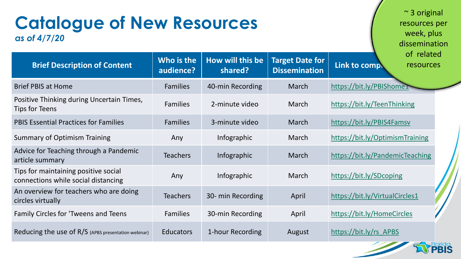| <b>Catalogue of New Resources</b><br>as of 4/7/20                           |                         | $\sim$ 3 original<br>resources per<br>week, plus<br>dissemination |                                                |                                 |                         |  |
|-----------------------------------------------------------------------------|-------------------------|-------------------------------------------------------------------|------------------------------------------------|---------------------------------|-------------------------|--|
| <b>Brief Description of Content</b>                                         | Who is the<br>audience? | How will this be<br>shared?                                       | <b>Target Date for</b><br><b>Dissemination</b> | Link to comply                  | of related<br>resources |  |
| <b>Brief PBIS at Home</b>                                                   | <b>Families</b>         | 40-min Recording                                                  | March                                          | https://bit.ly/PBIShome1        |                         |  |
| Positive Thinking during Uncertain Times,<br>Tips for Teens                 | <b>Families</b>         | 2-minute video                                                    | March                                          | https://bit.ly/TeenThinking     |                         |  |
| <b>PBIS Essential Practices for Families</b>                                | <b>Families</b>         | 3-minute video                                                    | March                                          | https://bit.ly/PBIS4Famsv       |                         |  |
| <b>Summary of Optimism Training</b>                                         | Any                     | Infographic                                                       | March                                          | https://bit.ly/OptimismTraining |                         |  |
| Advice for Teaching through a Pandemic<br>article summary                   | <b>Teachers</b>         | Infographic                                                       | March                                          | https://bit.ly/PandemicTeaching |                         |  |
| Tips for maintaining positive social<br>connections while social distancing | Any                     | Infographic                                                       | March                                          | https://bit.ly/SDcoping         |                         |  |
| An overview for teachers who are doing<br>circles virtually                 | <b>Teachers</b>         | 30- min Recording                                                 | April                                          | https://bit.ly/VirtualCircles1  |                         |  |
| Family Circles for 'Tweens and Teens                                        | <b>Families</b>         | 30-min Recording                                                  | April                                          | https://bit.ly/HomeCircles      |                         |  |
| Reducing the use of R/S (APBS presentation webinar)                         | <b>Educators</b>        | 1-hour Recording                                                  | August                                         | https://bit.ly/rs APBS          |                         |  |